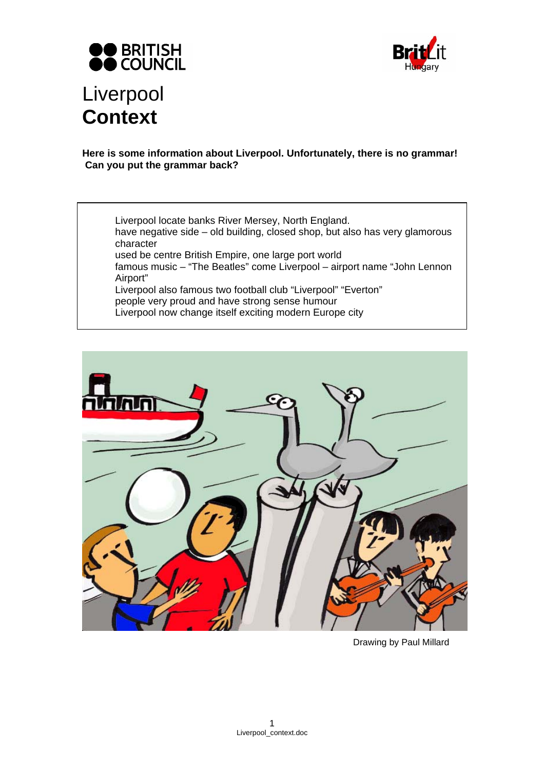



# **Here is some information about Liverpool. Unfortunately, there is no grammar! Can you put the grammar back?**

Liverpool locate banks River Mersey, North England. have negative side – old building, closed shop, but also has very glamorous character used be centre British Empire, one large port world famous music – "The Beatles" come Liverpool – airport name "John Lennon Airport" Liverpool also famous two football club "Liverpool" "Everton" people very proud and have strong sense humour

Liverpool now change itself exciting modern Europe city



Drawing by Paul Millard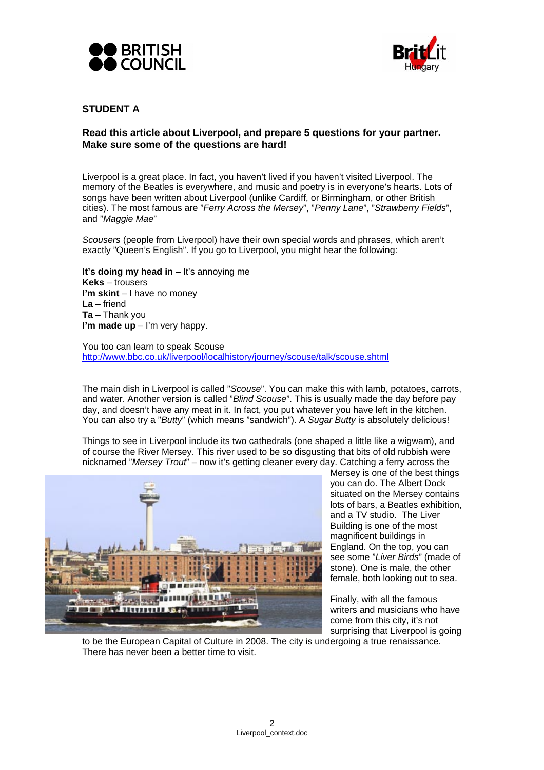



# **STUDENT A**

# **Read this article about Liverpool, and prepare 5 questions for your partner. Make sure some of the questions are hard!**

Liverpool is a great place. In fact, you haven't lived if you haven't visited Liverpool. The memory of the Beatles is everywhere, and music and poetry is in everyone's hearts. Lots of songs have been written about Liverpool (unlike Cardiff, or Birmingham, or other British cities). The most famous are "*Ferry Across the Mersey*", "*Penny Lane*", "*Strawberry Fields*", and "*Maggie Mae*"

*Scousers* (people from Liverpool) have their own special words and phrases, which aren't exactly "Queen's English". If you go to Liverpool, you might hear the following:

**It's doing my head in** – It's annoying me **Keks** – trousers **I'm skint** – I have no money **La** – friend **Ta** – Thank you **I'm made up** – I'm very happy.

You too can learn to speak Scouse http://www.bbc.co.uk/liverpool/localhistory/journey/scouse/talk/scouse.shtml

The main dish in Liverpool is called "*Scouse*". You can make this with lamb, potatoes, carrots, and water. Another version is called "*Blind Scouse*". This is usually made the day before pay day, and doesn't have any meat in it. In fact, you put whatever you have left in the kitchen. You can also try a "*Butty*" (which means "sandwich"). A *Sugar Butty* is absolutely delicious!

Things to see in Liverpool include its two cathedrals (one shaped a little like a wigwam), and of course the River Mersey. This river used to be so disgusting that bits of old rubbish were nicknamed "*Mersey Trout*" – now it's getting cleaner every day. Catching a ferry across the



Mersey is one of the best things you can do. The Albert Dock situated on the Mersey contains lots of bars, a Beatles exhibition, and a TV studio. The Liver Building is one of the most magnificent buildings in England. On the top, you can see some "*Liver Birds*" (made of stone). One is male, the other female, both looking out to sea.

Finally, with all the famous writers and musicians who have come from this city, it's not surprising that Liverpool is going

to be the European Capital of Culture in 2008. The city is undergoing a true renaissance. There has never been a better time to visit.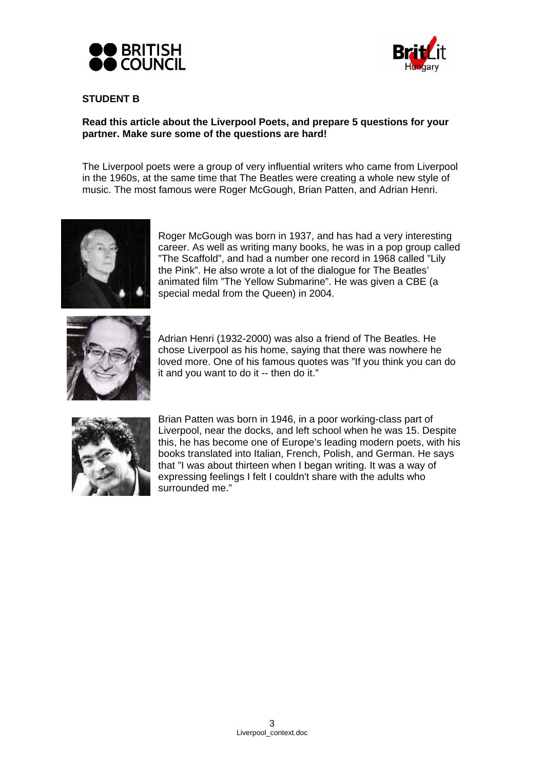



# **STUDENT B**

# **Read this article about the Liverpool Poets, and prepare 5 questions for your partner. Make sure some of the questions are hard!**

The Liverpool poets were a group of very influential writers who came from Liverpool in the 1960s, at the same time that The Beatles were creating a whole new style of music. The most famous were Roger McGough, Brian Patten, and Adrian Henri.



Roger McGough was born in 1937, and has had a very interesting career. As well as writing many books, he was in a pop group called "The Scaffold", and had a number one record in 1968 called "Lily the Pink". He also wrote a lot of the dialogue for The Beatles' animated film "The Yellow Submarine". He was given a CBE (a special medal from the Queen) in 2004.



Adrian Henri (1932-2000) was also a friend of The Beatles. He chose Liverpool as his home, saying that there was nowhere he loved more. One of his famous quotes was "If you think you can do it and you want to do it -- then do it."



Brian Patten was born in 1946, in a poor working-class part of Liverpool, near the docks, and left school when he was 15. Despite this, he has become one of Europe's leading modern poets, with his books translated into Italian, French, Polish, and German. He says that "I was about thirteen when I began writing. It was a way of expressing feelings I felt I couldn't share with the adults who surrounded me."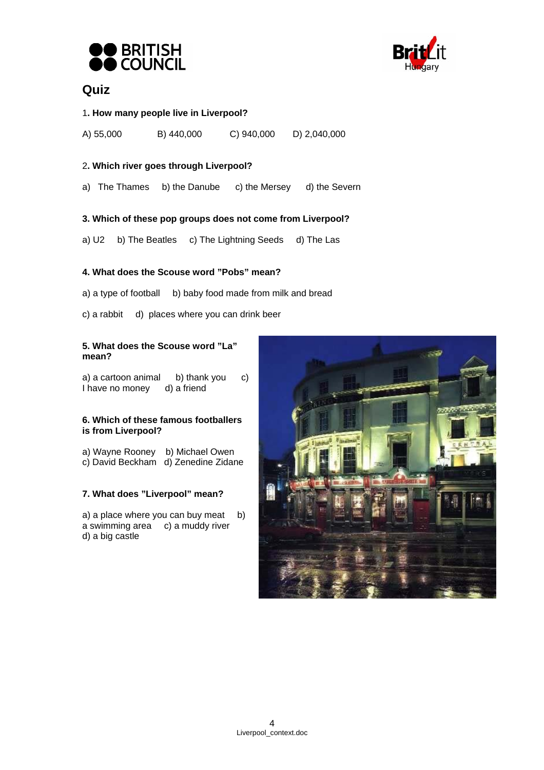



# **Quiz**

#### 1**. How many people live in Liverpool?**

A) 55,000 B) 440,000 C) 940,000 D) 2,040,000

#### 2**. Which river goes through Liverpool?**

a) The Thames b) the Danube c) the Mersey d) the Severn

#### **3. Which of these pop groups does not come from Liverpool?**

a) U2 b) The Beatles c) The Lightning Seeds d) The Las

# **4. What does the Scouse word "Pobs" mean?**

- a) a type of football b) baby food made from milk and bread
- c) a rabbit d) places where you can drink beer

#### **5. What does the Scouse word "La" mean?**

a) a cartoon animal b) thank you c) I have no money d) a friend

#### **6. Which of these famous footballers is from Liverpool?**

a) Wayne Rooney b) Michael Owen c) David Beckham d) Zenedine Zidane

#### **7. What does "Liverpool" mean?**

a) a place where you can buy meat b)  $a$  swimming area  $c)$  a muddy river d) a big castle